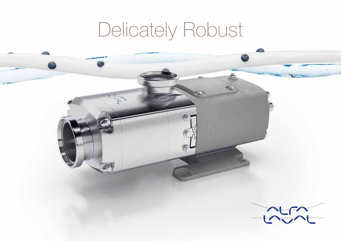# Delicately Robust

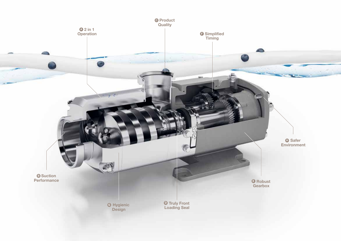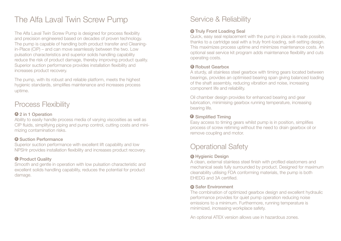# The Alfa Laval Twin Screw Pump

The Alfa Laval Twin Screw Pump is designed for process flexibility and precision engineered based on decades of proven technology. The pump is capable of handling both product transfer and Cleaningin-Place (CIP) – and can move seamlessly between the two. Low pulsation characteristics and superior solids handling capability reduce the risk of product damage, thereby improving product quality. Superior suction performance provides installation flexibility and increases product recovery.

The pump, with its robust and reliable platform, meets the highest hygienic standards, simplifies maintenance and increases process uptime.

## Process Flexibility

#### 2 in 1 Operation **A**

Ability to easily handle process media of varying viscosities as well as CIP fluids, simplifying piping and pump control, cutting costs and minimizing contamination risks.

#### **<sup>B</sup>** Suction Performance

Superior suction performance with excellent lift capability and low NPSHr provides installation flexibility and increases product recovery.

#### **O** Product Quality

Smooth and gentle in operation with low pulsation characteristic and excellent solids handling capability, reduces the potential for product damage.

## Service & Reliability

#### **<sup>O</sup>** Truly Front Loading Seal

Quick, easy seal replacement with the pump in place is made possible, thanks to a cartridge seal with a truly front-loading, self-setting design. This maximizes process uptime and minimizes maintenance costs. An optional seal service kit program adds maintenance flexibility and cuts operating costs.

#### **B** Robust Gearbox

A sturdy, all stainless steel gearbox with timing gears located between bearings, provides an optimised bearing span giving balanced loading of the shaft assembly, reducing vibration and noise, increasing component life and reliability.

Oil chamber design provides for enhanced bearing and gear lubrication, minimising gearbox running temperature, increasing bearing life.

## **<sup>** $\bullet$ **</sup>** Simplified Timing

Easy access to timing gears whilst pump is in position, simplifies process of screw retiming without the need to drain gearbox oil or remove coupling and motor.

## Operational Safety

## Hygienic Design **G**

A clean, external stainless steel finish with profiled elastomers and mechanical seals fully surrounded by product. Designed for maximum cleanability utilising FDA conforming materials, the pump is both EHEDG and 3A certified.

#### **<sup>0</sup>** Safer Environment

The combination of optimized gearbox design and excellent hydraulic performance provides for quiet pump operation reducing noise emissions to a minimum. Furthermore, running temperature is minimized, increasing workplace safety.

An optional ATEX version allows use in hazardous zones.